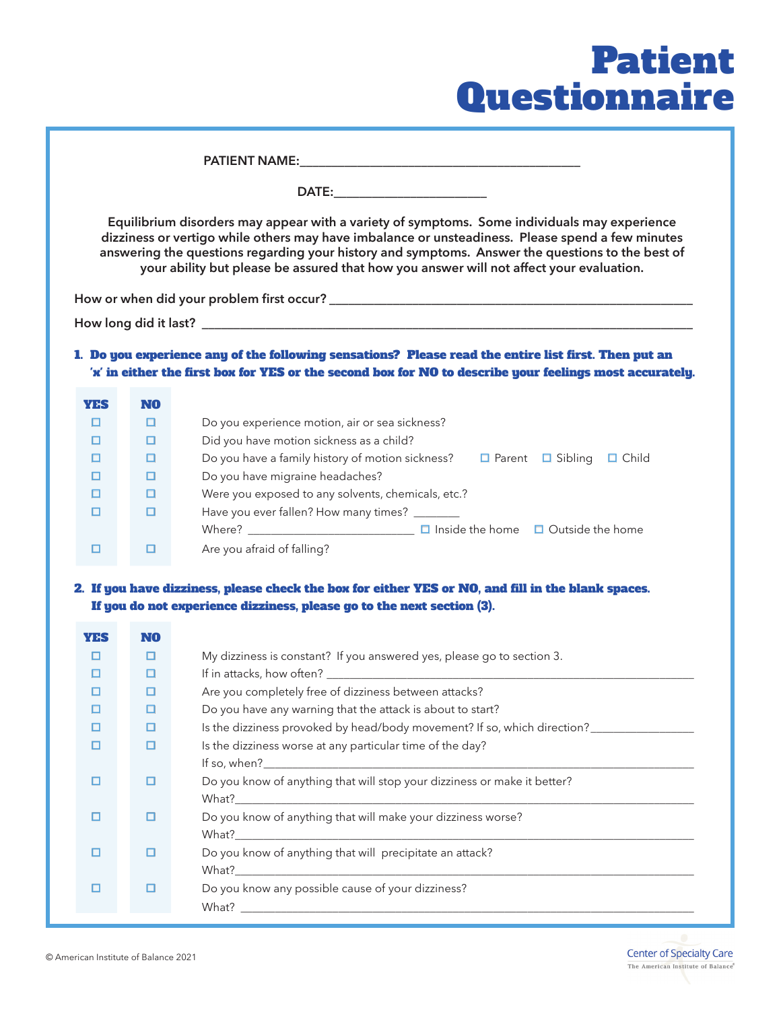## Patient Questionnaire

| Equilibrium disorders may appear with a variety of symptoms. Some individuals may experience<br>dizziness or vertigo while others may have imbalance or unsteadiness. Please spend a few minutes<br>answering the questions regarding your history and symptoms. Answer the questions to the best of<br>your ability but please be assured that how you answer will not affect your evaluation. |          |                                                                                                                                                                                                                 |  |  |
|-------------------------------------------------------------------------------------------------------------------------------------------------------------------------------------------------------------------------------------------------------------------------------------------------------------------------------------------------------------------------------------------------|----------|-----------------------------------------------------------------------------------------------------------------------------------------------------------------------------------------------------------------|--|--|
|                                                                                                                                                                                                                                                                                                                                                                                                 |          | 1. Do you experience any of the following sensations? Please read the entire list first. Then put an<br>'x' in either the first hox for YES or the second hox for NO to describe your feelings most accurately. |  |  |
| <b>YES</b>                                                                                                                                                                                                                                                                                                                                                                                      | NO.      |                                                                                                                                                                                                                 |  |  |
| $\Box$                                                                                                                                                                                                                                                                                                                                                                                          | $\Box$   | Do you experience motion, air or sea sickness?                                                                                                                                                                  |  |  |
| $\Box$                                                                                                                                                                                                                                                                                                                                                                                          | $\Box$   | Did you have motion sickness as a child?                                                                                                                                                                        |  |  |
| $\Box$                                                                                                                                                                                                                                                                                                                                                                                          | $\Box$   | Do you have a family history of motion sickness? $\square$ Parent $\square$ Sibling $\square$ Child                                                                                                             |  |  |
| $\Box$                                                                                                                                                                                                                                                                                                                                                                                          | $\Box$   | Do you have migraine headaches?                                                                                                                                                                                 |  |  |
| $\Box$                                                                                                                                                                                                                                                                                                                                                                                          | O        | Were you exposed to any solvents, chemicals, etc.?                                                                                                                                                              |  |  |
| $\Box$                                                                                                                                                                                                                                                                                                                                                                                          | $\Box$   | Have you ever fallen? How many times? _______                                                                                                                                                                   |  |  |
| $\Box$                                                                                                                                                                                                                                                                                                                                                                                          | $\Box$   | Are you afraid of falling?                                                                                                                                                                                      |  |  |
| 2. If you have dizziness, please check the box for either YES or NO, and fill in the blank spaces.<br>If you do not experience dizziness, please go to the next section (3).                                                                                                                                                                                                                    |          |                                                                                                                                                                                                                 |  |  |
| <b>YES</b><br>$\Box$                                                                                                                                                                                                                                                                                                                                                                            | NO.<br>O | My dizziness is constant? If you answered yes, please go to section 3.                                                                                                                                          |  |  |
| $\Box$                                                                                                                                                                                                                                                                                                                                                                                          | $\Box$   |                                                                                                                                                                                                                 |  |  |
| $\Box$                                                                                                                                                                                                                                                                                                                                                                                          | $\Box$   | Are you completely free of dizziness between attacks?                                                                                                                                                           |  |  |
| $\Box$                                                                                                                                                                                                                                                                                                                                                                                          | $\Box$   | Do you have any warning that the attack is about to start?                                                                                                                                                      |  |  |
| O                                                                                                                                                                                                                                                                                                                                                                                               | ⊡        | Is the dizziness provoked by head/body movement? If so, which direction?                                                                                                                                        |  |  |
| $\Box$                                                                                                                                                                                                                                                                                                                                                                                          | $\Box$   | Is the dizziness worse at any particular time of the day?                                                                                                                                                       |  |  |
| $\Box$                                                                                                                                                                                                                                                                                                                                                                                          | $\Box$   | Do you know of anything that will stop your dizziness or make it better?                                                                                                                                        |  |  |
| $\Box$                                                                                                                                                                                                                                                                                                                                                                                          | $\Box$   | Do you know of anything that will make your dizziness worse?                                                                                                                                                    |  |  |
| $\Box$                                                                                                                                                                                                                                                                                                                                                                                          | $\Box$   | Do you know of anything that will precipitate an attack?                                                                                                                                                        |  |  |
| $\Box$                                                                                                                                                                                                                                                                                                                                                                                          | $\Box$   | Do you know any possible cause of your dizziness?                                                                                                                                                               |  |  |